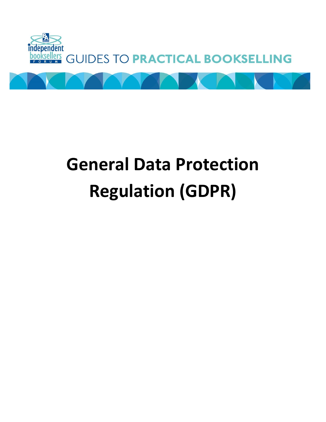

# **General Data Protection Regulation (GDPR)**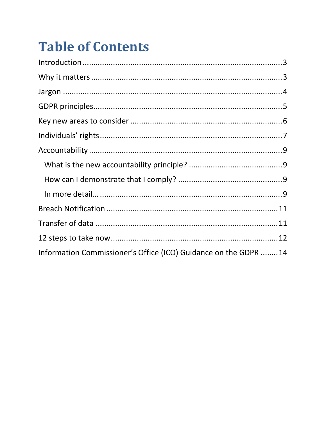# **Table of Contents**

| Information Commissioner's Office (ICO) Guidance on the GDPR 14 |  |
|-----------------------------------------------------------------|--|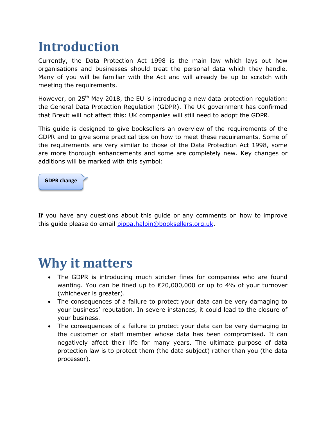# <span id="page-2-0"></span>**Introduction**

Currently, the Data Protection Act 1998 is the main law which lays out how organisations and businesses should treat the personal data which they handle. Many of you will be familiar with the Act and will already be up to scratch with meeting the requirements.

However, on  $25<sup>th</sup>$  May 2018, the EU is introducing a new data protection regulation: the General Data Protection Regulation (GDPR). The UK government has confirmed that Brexit will not affect this: UK companies will still need to adopt the GDPR.

This guide is designed to give booksellers an overview of the requirements of the GDPR and to give some practical tips on how to meet these requirements. Some of the requirements are very similar to those of the Data Protection Act 1998, some are more thorough enhancements and some are completely new. Key changes or additions will be marked with this symbol:



If you have any questions about this guide or any comments on how to improve this guide please do email [pippa.halpin@booksellers.org.uk.](mailto:pippa.halpin@booksellers.org.uk)

### <span id="page-2-1"></span>**Why it matters**

- The GDPR is introducing much stricter fines for companies who are found wanting. You can be fined up to €20,000,000 or up to 4% of your turnover (whichever is greater).
- The consequences of a failure to protect your data can be very damaging to your business' reputation. In severe instances, it could lead to the closure of your business.
- The consequences of a failure to protect your data can be very damaging to the customer or staff member whose data has been compromised. It can negatively affect their life for many years. The ultimate purpose of data protection law is to protect them (the data subject) rather than you (the data processor).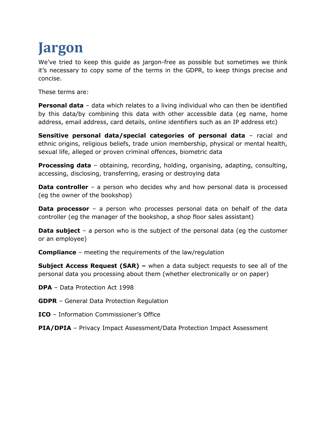# <span id="page-3-0"></span>**Jargon**

We've tried to keep this guide as jargon-free as possible but sometimes we think it's necessary to copy some of the terms in the GDPR, to keep things precise and concise.

These terms are:

**Personal data** – data which relates to a living individual who can then be identified by this data/by combining this data with other accessible data (eg name, home address, email address, card details, online identifiers such as an IP address etc)

**Sensitive personal data/special categories of personal data** – racial and ethnic origins, religious beliefs, trade union membership, physical or mental health, sexual life, alleged or proven criminal offences, biometric data

**Processing data** – obtaining, recording, holding, organising, adapting, consulting, accessing, disclosing, transferring, erasing or destroying data

**Data controller** – a person who decides why and how personal data is processed (eg the owner of the bookshop)

**Data processor** – a person who processes personal data on behalf of the data controller (eg the manager of the bookshop, a shop floor sales assistant)

**Data subject** – a person who is the subject of the personal data (eg the customer or an employee)

**Compliance** – meeting the requirements of the law/regulation

**Subject Access Request (SAR) –** when a data subject requests to see all of the personal data you processing about them (whether electronically or on paper)

**DPA** – Data Protection Act 1998

- **GDPR** General Data Protection Regulation
- **ICO**  Information Commissioner's Office

**PIA/DPIA** – Privacy Impact Assessment/Data Protection Impact Assessment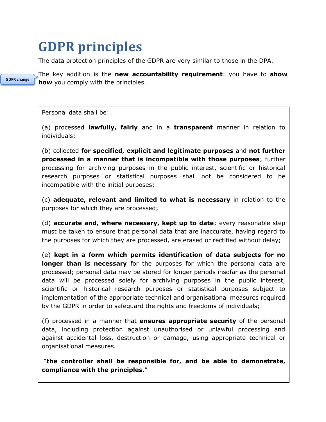# <span id="page-4-0"></span>**GDPR principles**

The data protection principles of the GDPR are very similar to those in the DPA.



The key addition is the **new accountability requirement**: you have to **show how** you comply with the principles.

Personal data shall be:

(a) processed **lawfully, fairly** and in a **transparent** manner in relation to individuals;

(b) collected **for specified, explicit and legitimate purposes** and **not further processed in a manner that is incompatible with those purposes**; further processing for archiving purposes in the public interest, scientific or historical research purposes or statistical purposes shall not be considered to be incompatible with the initial purposes;

(c) **adequate, relevant and limited to what is necessary** in relation to the purposes for which they are processed;

(d) **accurate and, where necessary, kept up to date**; every reasonable step must be taken to ensure that personal data that are inaccurate, having regard to the purposes for which they are processed, are erased or rectified without delay;

(e) **kept in a form which permits identification of data subjects for no longer than is necessary** for the purposes for which the personal data are processed; personal data may be stored for longer periods insofar as the personal data will be processed solely for archiving purposes in the public interest, scientific or historical research purposes or statistical purposes subject to implementation of the appropriate technical and organisational measures required by the GDPR in order to safeguard the rights and freedoms of individuals;

(f) processed in a manner that **ensures appropriate security** of the personal data, including protection against unauthorised or unlawful processing and against accidental loss, destruction or damage, using appropriate technical or organisational measures.

"**the controller shall be responsible for, and be able to demonstrate, compliance with the principles.**"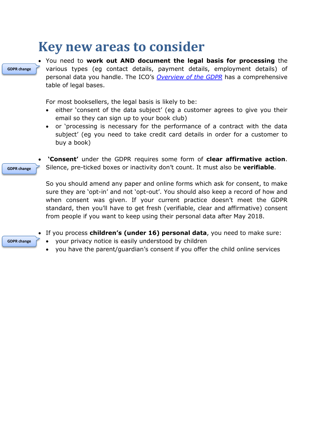### <span id="page-5-0"></span>**Key new areas to consider**



**GDPR change**

**GDPR change**

 You need to **work out AND document the legal basis for processing** the various types (eg contact details, payment details, employment details) of personal data you handle. The ICO's *[Overview of the GDPR](https://ico.org.uk/for-organisations/data-protection-reform/overview-of-the-gdpr/)* has a comprehensive table of legal bases.

For most booksellers, the legal basis is likely to be:

- either 'consent of the data subject' (eg a customer agrees to give you their email so they can sign up to your book club)
- or 'processing is necessary for the performance of a contract with the data subject' (eg you need to take credit card details in order for a customer to buy a book)

 **'Consent'** under the GDPR requires some form of **clear affirmative action**. Silence, pre-ticked boxes or inactivity don't count. It must also be **verifiable**.

So you should amend any paper and online forms which ask for consent, to make sure they are 'opt-in' and not 'opt-out'. You should also keep a record of how and when consent was given. If your current practice doesn't meet the GDPR standard, then you'll have to get fresh (verifiable, clear and affirmative) consent from people if you want to keep using their personal data after May 2018.

- If you process **children's (under 16) personal data**, you need to make sure:
- your privacy notice is easily understood by children
- you have the parent/guardian's consent if you offer the child online services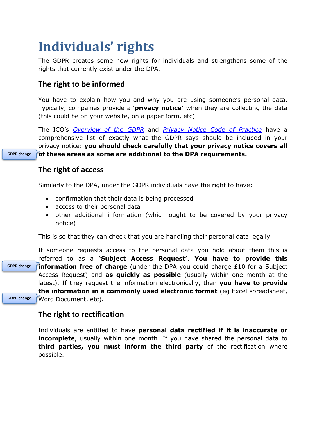# <span id="page-6-0"></span>**Individuals' rights**

The GDPR creates some new rights for individuals and strengthens some of the rights that currently exist under the DPA.

### **The right to be informed**

You have to explain how you and why you are using someone's personal data. Typically, companies provide a '**privacy notice'** when they are collecting the data (this could be on your website, on a paper form, etc).

The ICO's *[Overview of the GDPR](https://ico.org.uk/for-organisations/data-protection-reform/overview-of-the-gdpr/)* and *[Privacy Notice Code of Practice](https://ico.org.uk/for-organisations/guide-to-data-protection/privacy-notices-transparency-and-control/)* have a comprehensive list of exactly what the GDPR says should be included in your privacy notice: **you should check carefully that your privacy notice covers all of these areas as some are additional to the DPA requirements.**

#### **The right of access**

Similarly to the DPA, under the GDPR individuals have the right to have:

- confirmation that their data is being processed
- access to their personal data
- other additional information (which ought to be covered by your privacy notice)

This is so that they can check that you are handling their personal data legally.

If someone requests access to the personal data you hold about them this is referred to as a **'Subject Access Request'**. **You have to provide this information free of charge** (under the DPA you could charge £10 for a Subject Access Request) and **as quickly as possible** (usually within one month at the latest). If they request the information electronically, then **you have to provide the information in a commonly used electronic format** (eg Excel spreadsheet, Word Document, etc). **GDPR change**

**GDPR change**

#### **The right to rectification**

Individuals are entitled to have **personal data rectified if it is inaccurate or incomplete**, usually within one month. If you have shared the personal data to **third parties, you must inform the third party** of the rectification where possible.

**GDPR change**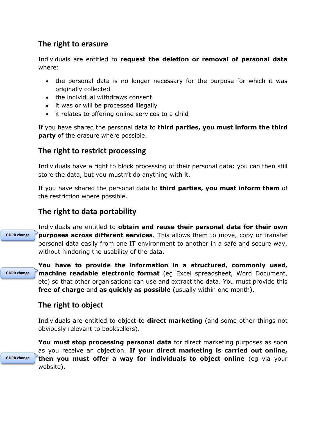### **The right to erasure**

Individuals are entitled to **request the deletion or removal of personal data**  where:

- the personal data is no longer necessary for the purpose for which it was originally collected
- the individual withdraws consent
- it was or will be processed illegally
- it relates to offering online services to a child

If you have shared the personal data to **third parties, you must inform the third party** of the erasure where possible.

#### **The right to restrict processing**

Individuals have a right to block processing of their personal data: you can then still store the data, but you mustn't do anything with it.

If you have shared the personal data to **third parties, you must inform them** of the restriction where possible.

### **The right to data portability**

Individuals are entitled to **obtain and reuse their personal data for their own purposes across different services**. This allows them to move, copy or transfer personal data easily from one IT environment to another in a safe and secure way, without hindering the usability of the data. **GDPR change**

**GDPR change**

**GDPR change**

**You have to provide the information in a structured, commonly used, machine readable electronic format** (eg Excel spreadsheet, Word Document, etc) so that other organisations can use and extract the data. You must provide this **free of charge** and **as quickly as possible** (usually within one month).

### **The right to object**

Individuals are entitled to object to **direct marketing** (and some other things not obviously relevant to booksellers).

**You must stop processing personal data** for direct marketing purposes as soon as you receive an objection. **If your direct marketing is carried out online, then you must offer a way for individuals to object online** (eg via your website).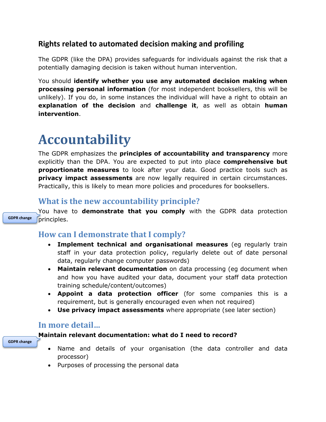### **Rights related to automated decision making and profiling**

The GDPR (like the DPA) provides safeguards for individuals against the risk that a potentially damaging decision is taken without human intervention.

You should **identify whether you use any automated decision making when processing personal information** (for most independent booksellers, this will be unlikely). If you do, in some instances the individual will have a right to obtain an **explanation of the decision** and **challenge it**, as well as obtain **human intervention**.

### <span id="page-8-0"></span>**Accountability**

The GDPR emphasizes the **principles of accountability and transparency** more explicitly than the DPA. You are expected to put into place **comprehensive but proportionate measures** to look after your data. Good practice tools such as **privacy impact assessments** are now legally required in certain circumstances. Practically, this is likely to mean more policies and procedures for booksellers.

### <span id="page-8-1"></span>**What is the new accountability principle?**

You have to **demonstrate that you comply** with the GDPR data protection principles. **GDPR change**

### <span id="page-8-2"></span>**How can I demonstrate that I comply?**

- **Implement technical and organisational measures** (eg regularly train staff in your data protection policy, regularly delete out of date personal data, regularly change computer passwords)
- **Maintain relevant documentation** on data processing (eg document when and how you have audited your data, document your staff data protection training schedule/content/outcomes)
- **Appoint a data protection officer** (for some companies this is a requirement, but is generally encouraged even when not required)
- **Use privacy impact assessments** where appropriate (see later section)

### <span id="page-8-3"></span>**In more detail…**

#### **Maintain relevant documentation: what do I need to record?**

- **GDPR change**
- Name and details of your organisation (the data controller and data processor)
- Purposes of processing the personal data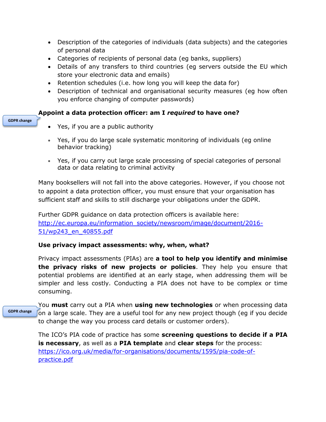- Description of the categories of individuals (data subjects) and the categories of personal data
- Categories of recipients of personal data (eg banks, suppliers)
- Details of any transfers to third countries (eg servers outside the EU which store your electronic data and emails)
- Retention schedules (i.e. how long you will keep the data for)
- Description of technical and organisational security measures (eg how often you enforce changing of computer passwords)

#### **Appoint a data protection officer: am I** *required* **to have one?**

#### **GDPR change**

- Yes, if you are a public authority
- Yes, if you do large scale systematic monitoring of individuals (eg online behavior tracking)
- Yes, if you carry out large scale processing of special categories of personal data or data relating to criminal activity

Many booksellers will not fall into the above categories. However, if you choose not to appoint a data protection officer, you must ensure that your organisation has sufficient staff and skills to still discharge your obligations under the GDPR.

Further GDPR guidance on data protection officers is available here: [http://ec.europa.eu/information\\_society/newsroom/image/document/2016-](http://ec.europa.eu/information_society/newsroom/image/document/2016-51/wp243_en_40855.pdf) [51/wp243\\_en\\_40855.pdf](http://ec.europa.eu/information_society/newsroom/image/document/2016-51/wp243_en_40855.pdf)

#### **Use privacy impact assessments: why, when, what?**

Privacy impact assessments (PIAs) are **a tool to help you identify and minimise the privacy risks of new projects or policies**. They help you ensure that potential problems are identified at an early stage, when addressing them will be simpler and less costly. Conducting a PIA does not have to be complex or time consuming.

You **must** carry out a PIA when **using new technologies** or when processing data on a large scale. They are a useful tool for any new project though (eg if you decide to change the way you process card details or customer orders).

The ICO's PIA code of practice has some **screening questions to decide if a PIA is necessary**, as well as a **PIA template** and **clear steps** for the process: [https://ico.org.uk/media/for-organisations/documents/1595/pia-code-of](https://ico.org.uk/media/for-organisations/documents/1595/pia-code-of-practice.pdf)[practice.pdf](https://ico.org.uk/media/for-organisations/documents/1595/pia-code-of-practice.pdf)

#### **GDPR change**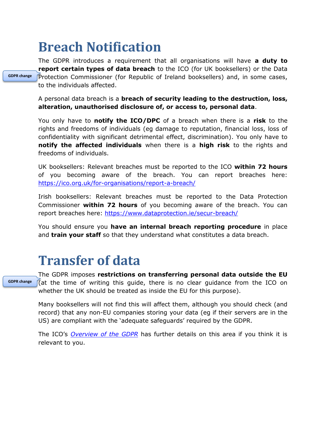# <span id="page-10-0"></span>**Breach Notification**

The GDPR introduces a requirement that all organisations will have **a duty to report certain types of data breach** to the ICO (for UK booksellers) or the Data Protection Commissioner (for Republic of Ireland booksellers) and, in some cases, to the individuals affected.

A personal data breach is a **breach of security leading to the destruction, loss, alteration, unauthorised disclosure of, or access to, personal data**.

You only have to **notify the ICO/DPC** of a breach when there is a **risk** to the rights and freedoms of individuals (eg damage to reputation, financial loss, loss of confidentiality with significant detrimental effect, discrimination). You only have to **notify the affected individuals** when there is a **high risk** to the rights and freedoms of individuals.

UK booksellers: Relevant breaches must be reported to the ICO **within 72 hours** of you becoming aware of the breach. You can report breaches here: <https://ico.org.uk/for-organisations/report-a-breach/>

Irish booksellers: Relevant breaches must be reported to the Data Protection Commissioner **within 72 hours** of you becoming aware of the breach. You can report breaches here:<https://www.dataprotection.ie/secur-breach/>

You should ensure you **have an internal breach reporting procedure** in place and **train your staff** so that they understand what constitutes a data breach.

### <span id="page-10-1"></span>**Transfer of data**

**GDPR change**

The GDPR imposes **restrictions on transferring personal data outside the EU** (at the time of writing this guide, there is no clear guidance from the ICO on whether the UK should be treated as inside the EU for this purpose).

Many booksellers will not find this will affect them, although you should check (and record) that any non-EU companies storing your data (eg if their servers are in the US) are compliant with the 'adequate safeguards' required by the GDPR.

The ICO's *[Overview of the GDPR](https://ico.org.uk/for-organisations/data-protection-reform/overview-of-the-gdpr/)* has further details on this area if you think it is relevant to you.

**GDPR change**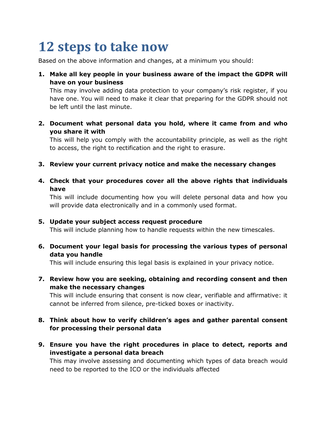# <span id="page-11-0"></span>**12 steps to take now**

Based on the above information and changes, at a minimum you should:

**1. Make all key people in your business aware of the impact the GDPR will have on your business**

This may involve adding data protection to your company's risk register, if you have one. You will need to make it clear that preparing for the GDPR should not be left until the last minute.

**2. Document what personal data you hold, where it came from and who you share it with**

This will help you comply with the accountability principle, as well as the right to access, the right to rectification and the right to erasure.

- **3. Review your current privacy notice and make the necessary changes**
- **4. Check that your procedures cover all the above rights that individuals have**

This will include documenting how you will delete personal data and how you will provide data electronically and in a commonly used format.

#### **5. Update your subject access request procedure**

This will include planning how to handle requests within the new timescales.

**6. Document your legal basis for processing the various types of personal data you handle**

This will include ensuring this legal basis is explained in your privacy notice.

**7. Review how you are seeking, obtaining and recording consent and then make the necessary changes**

This will include ensuring that consent is now clear, verifiable and affirmative: it cannot be inferred from silence, pre-ticked boxes or inactivity.

- **8. Think about how to verify children's ages and gather parental consent for processing their personal data**
- **9. Ensure you have the right procedures in place to detect, reports and investigate a personal data breach**

This may involve assessing and documenting which types of data breach would need to be reported to the ICO or the individuals affected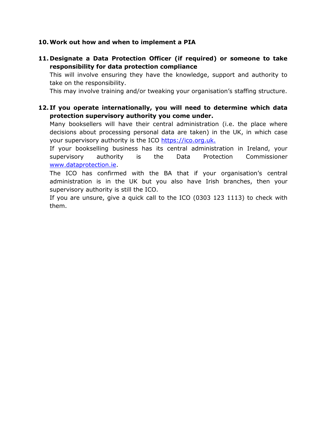#### **10.Work out how and when to implement a PIA**

**11. Designate a Data Protection Officer (if required) or someone to take responsibility for data protection compliance**

This will involve ensuring they have the knowledge, support and authority to take on the responsibility.

This may involve training and/or tweaking your organisation's staffing structure.

**12. If you operate internationally, you will need to determine which data protection supervisory authority you come under.**

Many booksellers will have their central administration (i.e. the place where decisions about processing personal data are taken) in the UK, in which case your supervisory authority is the ICO [https://ico.org.uk.](https://ico.org.uk/)

If your bookselling business has its central administration in Ireland, your supervisory authority is the Data Protection Commissioner [www.dataprotection.ie.](http://www.dataprotection.ie/)

The ICO has confirmed with the BA that if your organisation's central administration is in the UK but you also have Irish branches, then your supervisory authority is still the ICO.

If you are unsure, give a quick call to the ICO (0303 123 1113) to check with them.